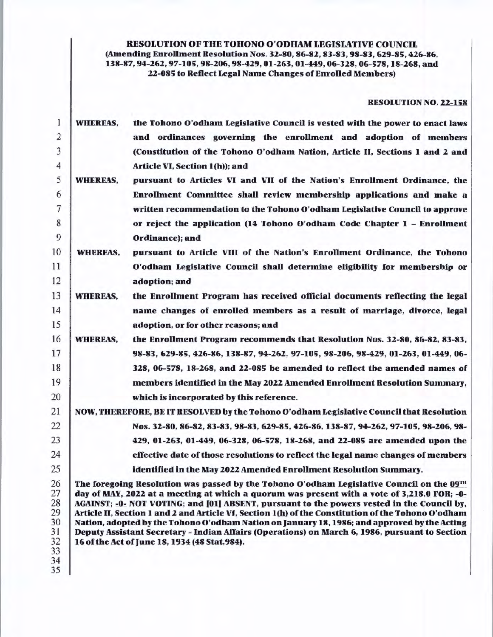## RESOLUTION OF THE TOHONO O'ODHAM LEGISLATIVE COUNCIL (Amending Enrollment Resolution Nos. 32-80, 86-82, 83-83, 98-83, 629-85, 426-86, 138-87, 94-262, 97-105, 98-206, 98-429, 01-263, 01-449, 06-328, 06-578, 18-268, and 22-085 to Reflect Legal Name Changes of Enrolled Members)

## RESOLUTION NO. 22-158

| $\mathbf{1}$                                 | <b>WHEREAS,</b> | the Tohono O'odham Legislative Council is vested with the power to enact laws                                                                                                                                                                                                                                                                                                                                                                                                                                                                                                                                                                     |
|----------------------------------------------|-----------------|---------------------------------------------------------------------------------------------------------------------------------------------------------------------------------------------------------------------------------------------------------------------------------------------------------------------------------------------------------------------------------------------------------------------------------------------------------------------------------------------------------------------------------------------------------------------------------------------------------------------------------------------------|
| $\overline{2}$                               |                 | and ordinances governing the enrollment and adoption of members                                                                                                                                                                                                                                                                                                                                                                                                                                                                                                                                                                                   |
| 3                                            |                 | (Constitution of the Tohono O'odham Nation, Article II, Sections 1 and 2 and                                                                                                                                                                                                                                                                                                                                                                                                                                                                                                                                                                      |
| 4                                            |                 | Article VI, Section 1(h)); and                                                                                                                                                                                                                                                                                                                                                                                                                                                                                                                                                                                                                    |
| 5                                            | <b>WHEREAS,</b> | pursuant to Articles VI and VII of the Nation's Enrollment Ordinance, the                                                                                                                                                                                                                                                                                                                                                                                                                                                                                                                                                                         |
| 6                                            |                 | Enrollment Committee shall review membership applications and make a                                                                                                                                                                                                                                                                                                                                                                                                                                                                                                                                                                              |
| 7                                            |                 | written recommendation to the Tohono O'odham Legislative Council to approve                                                                                                                                                                                                                                                                                                                                                                                                                                                                                                                                                                       |
| 8                                            |                 | or reject the application (14 Tohono O'odham Code Chapter 1 - Enrollment                                                                                                                                                                                                                                                                                                                                                                                                                                                                                                                                                                          |
| 9                                            |                 | Ordinance); and                                                                                                                                                                                                                                                                                                                                                                                                                                                                                                                                                                                                                                   |
| 10                                           | <b>WHEREAS,</b> | pursuant to Article VIII of the Nation's Enrollment Ordinance, the Tohono                                                                                                                                                                                                                                                                                                                                                                                                                                                                                                                                                                         |
| 11                                           |                 | O'odham Legislative Council shall determine eligibility for membership or                                                                                                                                                                                                                                                                                                                                                                                                                                                                                                                                                                         |
| 12                                           |                 | adoption; and                                                                                                                                                                                                                                                                                                                                                                                                                                                                                                                                                                                                                                     |
| 13                                           | <b>WHEREAS,</b> | the Enrollment Program has received official documents reflecting the legal                                                                                                                                                                                                                                                                                                                                                                                                                                                                                                                                                                       |
| 14                                           |                 | name changes of enrolled members as a result of marriage, divorce, legal                                                                                                                                                                                                                                                                                                                                                                                                                                                                                                                                                                          |
| 15                                           |                 | adoption, or for other reasons; and                                                                                                                                                                                                                                                                                                                                                                                                                                                                                                                                                                                                               |
| 16                                           | <b>WHEREAS,</b> | the Enrollment Program recommends that Resolution Nos. 32-80, 86-82, 83-83,                                                                                                                                                                                                                                                                                                                                                                                                                                                                                                                                                                       |
| 17                                           |                 | 98-83, 629-85, 426-86, 138-87, 94-262, 97-105, 98-206, 98-429, 01-263, 01-449, 06-                                                                                                                                                                                                                                                                                                                                                                                                                                                                                                                                                                |
| 18                                           |                 | 328, 06-578, 18-268, and 22-085 be amended to reflect the amended names of                                                                                                                                                                                                                                                                                                                                                                                                                                                                                                                                                                        |
| 19                                           |                 | members identified in the May 2022 Amended Enrollment Resolution Summary,                                                                                                                                                                                                                                                                                                                                                                                                                                                                                                                                                                         |
| 20                                           |                 | which is incorporated by this reference.                                                                                                                                                                                                                                                                                                                                                                                                                                                                                                                                                                                                          |
| 21                                           |                 | NOW, THEREFORE, BE IT RESOLVED by the Tohono O'odham Legislative Council that Resolution                                                                                                                                                                                                                                                                                                                                                                                                                                                                                                                                                          |
| 22                                           |                 | Nos. 32-80, 86-82, 83-83, 98-83, 629-85, 426-86, 138-87, 94-262, 97-105, 98-206, 98-                                                                                                                                                                                                                                                                                                                                                                                                                                                                                                                                                              |
| 23                                           |                 | 429, 01-263, 01-449, 06-328, 06-578, 18-268, and 22-085 are amended upon the                                                                                                                                                                                                                                                                                                                                                                                                                                                                                                                                                                      |
| 24                                           |                 | effective date of those resolutions to reflect the legal name changes of members                                                                                                                                                                                                                                                                                                                                                                                                                                                                                                                                                                  |
| 25                                           |                 | identified in the May 2022 Amended Enrollment Resolution Summary.                                                                                                                                                                                                                                                                                                                                                                                                                                                                                                                                                                                 |
| 26<br>27<br>28<br>29<br>30<br>31<br>32<br>33 |                 | The foregoing Resolution was passed by the Tohono O'odham Legislative Council on the $09TH$<br>day of MAY, 2022 at a meeting at which a quorum was present with a vote of 3,218.0 FOR; -0-<br>AGAINST; -0- NOT VOTING; and [01] ABSENT, pursuant to the powers vested in the Council by,<br>Article II, Section 1 and 2 and Article Vf, Section 1(h) of the Constitution of the Tohono O'odham<br>Nation, adopted by the Tohono O'odham Nation on January 18, 1986; and approved by the Acting<br>Deputy Assistant Secretary - Indian Affairs (Operations) on March 6, 1986, pursuant to Section<br>16 of the Act of June 18, 1934 (48 Stat.984). |
| 34                                           |                 |                                                                                                                                                                                                                                                                                                                                                                                                                                                                                                                                                                                                                                                   |

35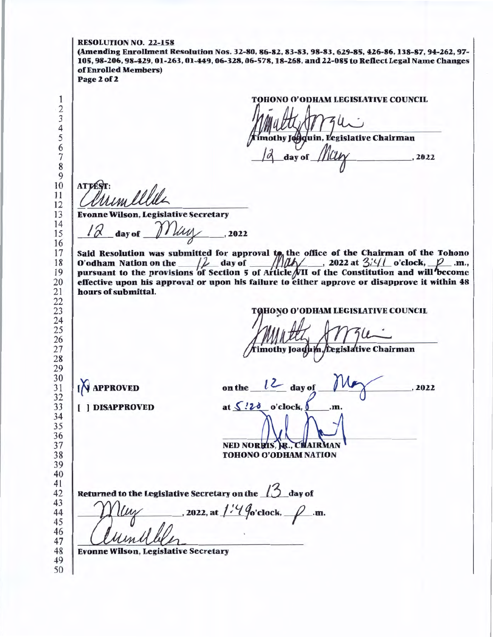RESOLUTION NO. 22-158 (Amending Enrollment Resolution Nos. 32-80, 86-82, 83-83, 98-83, 629-85, 426-86, 138-87, 94-262, 97- 105, 98-206, 98-429, 01-263, 01-449, 06-328, 06-578, 18-268, and 22-085 to Reflect Legal Name Changes of Enrolled Members) Page 2 of 2 TOHONO O'ODHAM LEGISIATIVE COUNCIL othy Jogquin, Legislative Chairman day of .2022 **ATTES**  Evonne Wilson, Legislative Secretary *l*  $\alpha$  day of *Illus .* 2022 Said Resolution was submitted for approval to the office of the Chairman of the Tohono O'odham Nation on the  $\mu$  day of  $\mu$  and  $\mu$ , 2022 at 3/4/ o'clock,  $\mu$  im., D'odham Nation on the  $\frac{1}{100}$  aay of  $\frac{1}{100}$ , 2022 at  $\frac{5.91}{2.91}$  o clock,  $\frac{1}{100}$ . In., pursuant to the provisions of Section 5 of Article VII of the Constitution and will become effective upon his approval or upon his failure to either approve or disapprove it within 48 hours of submittal. TOHONO O'ODHAM LEGISLATIVE COUNCIL Tegislative Chairman mothy Joaqui  $\bigwedge$  APPROVED on the  $\iota$  day of ,2022 at  $\sqrt{2}$  o'clock, [ ) DISAPPROVED .m NED NORRIS, R., CHAIR TOHONO O'ODHAM NATION Returned to the Legislative Secretary on the  $n \Delta$  day of  $\ldots$ , 2022, at  $1.4$  % clock,  $\ldots$  .m. Evonne Wilson, Legislative Secretary